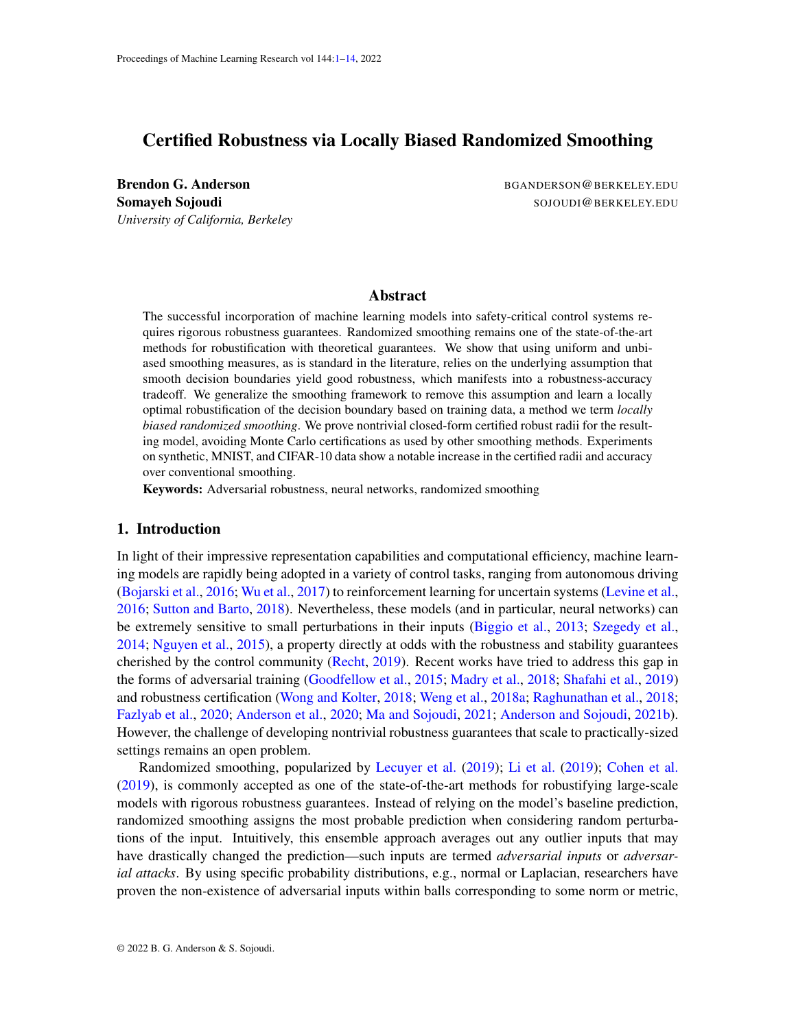# <span id="page-0-0"></span>Certified Robustness via Locally Biased Randomized Smoothing

Brendon G. Anderson BGANDERSON @BERKELEY.EDU *University of California, Berkeley*

Somayeh Sojoudi Solomba Solomba Solomba Sojoudi Solomba Sojoudi Solomba Sojoudi Berkeley. EDU

### Abstract

The successful incorporation of machine learning models into safety-critical control systems requires rigorous robustness guarantees. Randomized smoothing remains one of the state-of-the-art methods for robustification with theoretical guarantees. We show that using uniform and unbiased smoothing measures, as is standard in the literature, relies on the underlying assumption that smooth decision boundaries yield good robustness, which manifests into a robustness-accuracy tradeoff. We generalize the smoothing framework to remove this assumption and learn a locally optimal robustification of the decision boundary based on training data, a method we term *locally biased randomized smoothing*. We prove nontrivial closed-form certified robust radii for the resulting model, avoiding Monte Carlo certifications as used by other smoothing methods. Experiments on synthetic, MNIST, and CIFAR-10 data show a notable increase in the certified radii and accuracy over conventional smoothing.

Keywords: Adversarial robustness, neural networks, randomized smoothing

# 1. Introduction

In light of their impressive representation capabilities and computational efficiency, machine learning models are rapidly being adopted in a variety of control tasks, ranging from autonomous driving [\(Bojarski et al.,](#page-10-0) [2016;](#page-10-0) [Wu et al.,](#page-13-1) [2017\)](#page-13-1) to reinforcement learning for uncertain systems [\(Levine et al.,](#page-11-0) [2016;](#page-11-0) [Sutton and Barto,](#page-12-0) [2018\)](#page-12-0). Nevertheless, these models (and in particular, neural networks) can be extremely sensitive to small perturbations in their inputs [\(Biggio et al.,](#page-10-1) [2013;](#page-10-1) [Szegedy et al.,](#page-12-1) [2014;](#page-12-1) [Nguyen et al.,](#page-12-2) [2015\)](#page-12-2), a property directly at odds with the robustness and stability guarantees cherished by the control community [\(Recht,](#page-12-3) [2019\)](#page-12-3). Recent works have tried to address this gap in the forms of adversarial training [\(Goodfellow et al.,](#page-11-1) [2015;](#page-11-1) [Madry et al.,](#page-11-2) [2018;](#page-11-2) [Shafahi et al.,](#page-12-4) [2019\)](#page-12-4) and robustness certification [\(Wong and Kolter,](#page-13-2) [2018;](#page-13-2) [Weng et al.,](#page-13-3) [2018a;](#page-13-3) [Raghunathan et al.,](#page-12-5) [2018;](#page-12-5) [Fazlyab et al.,](#page-11-3) [2020;](#page-11-3) [Anderson et al.,](#page-10-2) [2020;](#page-10-2) [Ma and Sojoudi,](#page-11-4) [2021;](#page-11-4) [Anderson and Sojoudi,](#page-10-3) [2021b\)](#page-10-3). However, the challenge of developing nontrivial robustness guarantees that scale to practically-sized settings remains an open problem.

Randomized smoothing, popularized by [Lecuyer et al.](#page-11-5) [\(2019\)](#page-11-5); [Li et al.](#page-11-6) [\(2019\)](#page-11-6); [Cohen et al.](#page-10-4) [\(2019\)](#page-10-4), is commonly accepted as one of the state-of-the-art methods for robustifying large-scale models with rigorous robustness guarantees. Instead of relying on the model's baseline prediction, randomized smoothing assigns the most probable prediction when considering random perturbations of the input. Intuitively, this ensemble approach averages out any outlier inputs that may have drastically changed the prediction—such inputs are termed *adversarial inputs* or *adversarial attacks*. By using specific probability distributions, e.g., normal or Laplacian, researchers have proven the non-existence of adversarial inputs within balls corresponding to some norm or metric,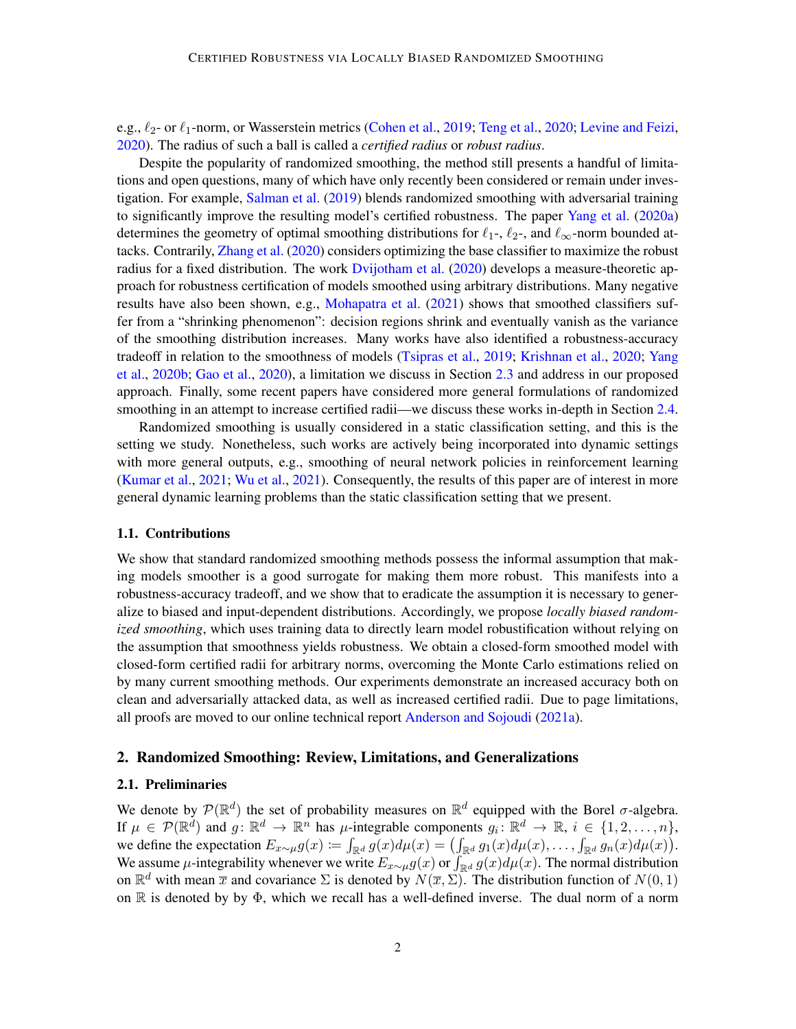e.g.,  $\ell_2$ - or  $\ell_1$ -norm, or Wasserstein metrics [\(Cohen et al.,](#page-10-4) [2019;](#page-10-4) [Teng et al.,](#page-12-6) [2020;](#page-12-6) [Levine and Feizi,](#page-11-7) [2020\)](#page-11-7). The radius of such a ball is called a *certified radius* or *robust radius*.

Despite the popularity of randomized smoothing, the method still presents a handful of limitations and open questions, many of which have only recently been considered or remain under investigation. For example, [Salman et al.](#page-12-7) [\(2019\)](#page-12-7) blends randomized smoothing with adversarial training to significantly improve the resulting model's certified robustness. The paper [Yang et al.](#page-13-4) [\(2020a\)](#page-13-4) determines the geometry of optimal smoothing distributions for  $\ell_1$ -,  $\ell_2$ -, and  $\ell_{\infty}$ -norm bounded attacks. Contrarily, [Zhang et al.](#page-13-5) [\(2020\)](#page-13-5) considers optimizing the base classifier to maximize the robust radius for a fixed distribution. The work [Dvijotham et al.](#page-10-5) [\(2020\)](#page-10-5) develops a measure-theoretic approach for robustness certification of models smoothed using arbitrary distributions. Many negative results have also been shown, e.g., [Mohapatra et al.](#page-12-8) [\(2021\)](#page-12-8) shows that smoothed classifiers suffer from a "shrinking phenomenon": decision regions shrink and eventually vanish as the variance of the smoothing distribution increases. Many works have also identified a robustness-accuracy tradeoff in relation to the smoothness of models [\(Tsipras et al.,](#page-12-9) [2019;](#page-12-9) [Krishnan et al.,](#page-11-8) [2020;](#page-11-8) [Yang](#page-13-6) [et al.,](#page-13-6) [2020b;](#page-13-6) [Gao et al.,](#page-11-9) [2020\)](#page-11-9), a limitation we discuss in Section [2.3](#page-3-0) and address in our proposed approach. Finally, some recent papers have considered more general formulations of randomized smoothing in an attempt to increase certified radii—we discuss these works in-depth in Section [2.4.](#page-4-0)

Randomized smoothing is usually considered in a static classification setting, and this is the setting we study. Nonetheless, such works are actively being incorporated into dynamic settings with more general outputs, e.g., smoothing of neural network policies in reinforcement learning [\(Kumar et al.,](#page-11-10) [2021;](#page-11-10) [Wu et al.,](#page-13-7) [2021\)](#page-13-7). Consequently, the results of this paper are of interest in more general dynamic learning problems than the static classification setting that we present.

#### 1.1. Contributions

We show that standard randomized smoothing methods possess the informal assumption that making models smoother is a good surrogate for making them more robust. This manifests into a robustness-accuracy tradeoff, and we show that to eradicate the assumption it is necessary to generalize to biased and input-dependent distributions. Accordingly, we propose *locally biased randomized smoothing*, which uses training data to directly learn model robustification without relying on the assumption that smoothness yields robustness. We obtain a closed-form smoothed model with closed-form certified radii for arbitrary norms, overcoming the Monte Carlo estimations relied on by many current smoothing methods. Our experiments demonstrate an increased accuracy both on clean and adversarially attacked data, as well as increased certified radii. Due to page limitations, all proofs are moved to our online technical report [Anderson and Sojoudi](#page-10-6) [\(2021a\)](#page-10-6).

### 2. Randomized Smoothing: Review, Limitations, and Generalizations

### 2.1. Preliminaries

We denote by  $\mathcal{P}(\mathbb{R}^d)$  the set of probability measures on  $\mathbb{R}^d$  equipped with the Borel  $\sigma$ -algebra. If  $\mu \in \mathcal{P}(\mathbb{R}^d)$  and  $g: \mathbb{R}^d \to \mathbb{R}^n$  has  $\mu$ -integrable components  $g_i \colon \mathbb{R}^d \to \mathbb{R}, i \in \{1, 2, ..., n\},$ we define the expectation  $E_{x\sim \mu}g(x) \coloneqq \int_{\mathbb{R}^d} g(x)d\mu(x) = \left(\int_{\mathbb{R}^d} g_1(x)d\mu(x), \ldots, \int_{\mathbb{R}^d} g_n(x)d\mu(x)\right).$ We assume  $\mu$ -integrability whenever we write  $E_{x\sim \mu}g(x)$  or  $\int_{\mathbb{R}^d} g(x)d\mu(x)$ . The normal distribution on  $\mathbb{R}^d$  with mean  $\overline{x}$  and covariance  $\Sigma$  is denoted by  $N(\overline{x}, \Sigma)$ . The distribution function of  $N(0, 1)$ on R is denoted by by Φ, which we recall has a well-defined inverse. The dual norm of a norm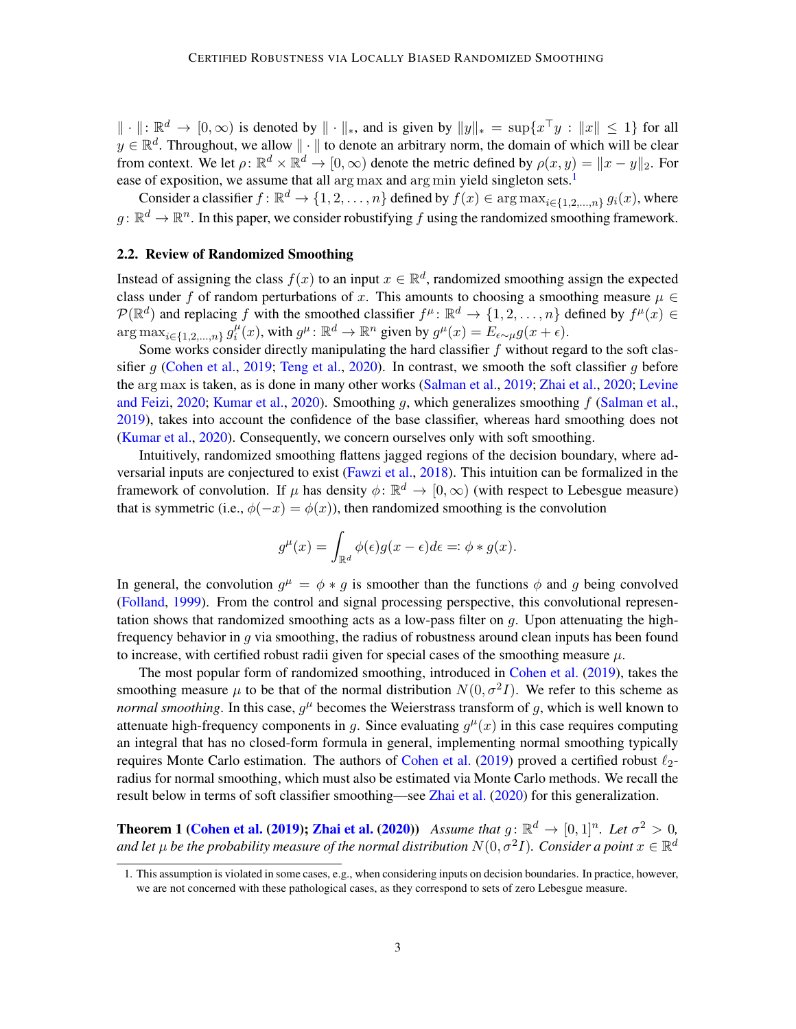$\|\cdot\|: \mathbb{R}^d \to [0,\infty)$  is denoted by  $\|\cdot\|_*$ , and is given by  $\|y\|_* = \sup\{x^\top y : \|x\| \le 1\}$  for all  $y \in \mathbb{R}^d$ . Throughout, we allow  $\|\cdot\|$  to denote an arbitrary norm, the domain of which will be clear from context. We let  $\rho: \mathbb{R}^d \times \mathbb{R}^d \to [0, \infty)$  denote the metric defined by  $\rho(x, y) = ||x - y||_2$ . For ease of exposition, we assume that all arg max and arg min yield singleton sets.<sup>[1](#page-2-0)</sup>

Consider a classifier  $f: \mathbb{R}^d \to \{1, 2, ..., n\}$  defined by  $f(x) \in \arg \max_{i \in \{1, 2, ..., n\}} g_i(x)$ , where  $g: \mathbb{R}^d \to \mathbb{R}^n$ . In this paper, we consider robustifying f using the randomized smoothing framework.

#### 2.2. Review of Randomized Smoothing

Instead of assigning the class  $f(x)$  to an input  $x \in \mathbb{R}^d$ , randomized smoothing assign the expected class under f of random perturbations of x. This amounts to choosing a smoothing measure  $\mu \in$  $\mathcal{P}(\mathbb{R}^d)$  and replacing f with the smoothed classifier  $f^\mu: \mathbb{R}^d \to \{1, 2, ..., n\}$  defined by  $f^\mu(x) \in$  $\arg \max_{i \in \{1, 2, ..., n\}} g_i^{\mu}$  $i^{\mu}(x)$ , with  $g^{\mu} \colon \mathbb{R}^d \to \mathbb{R}^n$  given by  $g^{\mu}(x) = E_{\epsilon \sim \mu} g(x + \epsilon)$ .

Some works consider directly manipulating the hard classifier  $f$  without regard to the soft clas-sifier g [\(Cohen et al.,](#page-10-4) [2019;](#page-10-4) [Teng et al.,](#page-12-6) [2020\)](#page-12-6). In contrast, we smooth the soft classifier g before the arg max is taken, as is done in many other works [\(Salman et al.,](#page-12-7) [2019;](#page-12-7) [Zhai et al.,](#page-13-8) [2020;](#page-13-8) [Levine](#page-11-7) [and Feizi,](#page-11-7) [2020;](#page-11-7) [Kumar et al.,](#page-11-11) [2020\)](#page-11-11). Smoothing q, which generalizes smoothing  $f$  [\(Salman et al.,](#page-12-7) [2019\)](#page-12-7), takes into account the confidence of the base classifier, whereas hard smoothing does not [\(Kumar et al.,](#page-11-11) [2020\)](#page-11-11). Consequently, we concern ourselves only with soft smoothing.

Intuitively, randomized smoothing flattens jagged regions of the decision boundary, where adversarial inputs are conjectured to exist [\(Fawzi et al.,](#page-10-7) [2018\)](#page-10-7). This intuition can be formalized in the framework of convolution. If  $\mu$  has density  $\phi \colon \mathbb{R}^d \to [0,\infty)$  (with respect to Lebesgue measure) that is symmetric (i.e.,  $\phi(-x) = \phi(x)$ ), then randomized smoothing is the convolution

$$
g^{\mu}(x) = \int_{\mathbb{R}^d} \phi(\epsilon)g(x - \epsilon)d\epsilon = \phi * g(x).
$$

In general, the convolution  $g^{\mu} = \phi * g$  is smoother than the functions  $\phi$  and g being convolved [\(Folland,](#page-11-12) [1999\)](#page-11-12). From the control and signal processing perspective, this convolutional representation shows that randomized smoothing acts as a low-pass filter on  $g$ . Upon attenuating the highfrequency behavior in  $q$  via smoothing, the radius of robustness around clean inputs has been found to increase, with certified robust radii given for special cases of the smoothing measure  $\mu$ .

The most popular form of randomized smoothing, introduced in [Cohen et al.](#page-10-4) [\(2019\)](#page-10-4), takes the smoothing measure  $\mu$  to be that of the normal distribution  $N(0, \sigma^2 I)$ . We refer to this scheme as *normal smoothing*. In this case,  $g^{\mu}$  becomes the Weierstrass transform of g, which is well known to attenuate high-frequency components in g. Since evaluating  $g^{\mu}(x)$  in this case requires computing an integral that has no closed-form formula in general, implementing normal smoothing typically requires Monte Carlo estimation. The authors of [Cohen et al.](#page-10-4) [\(2019\)](#page-10-4) proved a certified robust  $\ell_2$ radius for normal smoothing, which must also be estimated via Monte Carlo methods. We recall the result below in terms of soft classifier smoothing—see [Zhai et al.](#page-13-8) [\(2020\)](#page-13-8) for this generalization.

<span id="page-2-1"></span>**Theorem 1 [\(Cohen et al.](#page-10-4) [\(2019\)](#page-10-4); [Zhai et al.](#page-13-8) [\(2020\)](#page-13-8))** *Assume that*  $g: \mathbb{R}^d \to [0,1]^n$ *. Let*  $\sigma^2 > 0$ *,* and let  $\mu$  be the probability measure of the normal distribution  $N(0,\sigma^2 I)$ . Consider a point  $x\in\mathbb{R}^d$ 

<span id="page-2-0"></span><sup>1.</sup> This assumption is violated in some cases, e.g., when considering inputs on decision boundaries. In practice, however, we are not concerned with these pathological cases, as they correspond to sets of zero Lebesgue measure.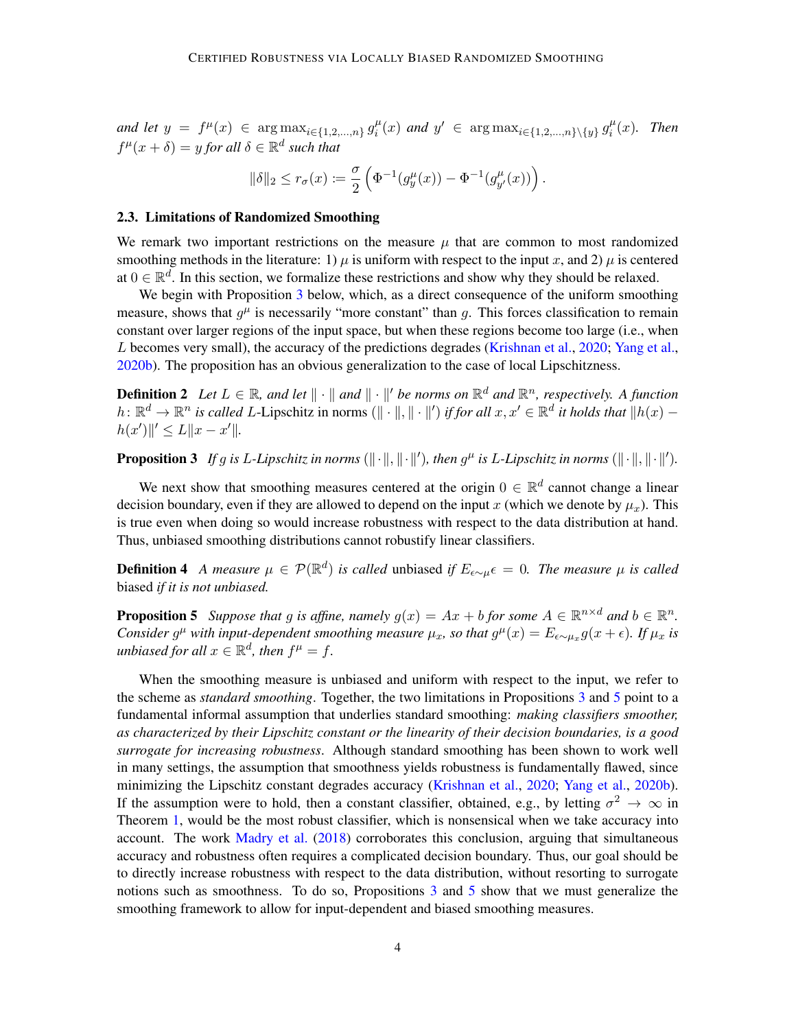*and let*  $y = f^{\mu}(x) \in \arg \max_{i \in \{1, 2, ..., n\}} g_i^{\mu}$  $i^{\mu}(x)$  *and*  $y' \in \arg \max_{i \in \{1, 2, ..., n\} \setminus \{y\}} g_i^{\mu}$  $\int_{i}^{\mu}(x)$ . Then  $f^{\mu}(x+\delta) = y$  for all  $\delta \in \mathbb{R}^d$  such that

$$
\|\delta\|_2 \leq r_\sigma(x) \coloneqq \frac{\sigma}{2}\left(\Phi^{-1}(g^\mu_y(x)) - \Phi^{-1}(g^\mu_{y'}(x))\right).
$$

#### <span id="page-3-0"></span>2.3. Limitations of Randomized Smoothing

We remark two important restrictions on the measure  $\mu$  that are common to most randomized smoothing methods in the literature: 1)  $\mu$  is uniform with respect to the input x, and 2)  $\mu$  is centered at  $0 \in \mathbb{R}^d$ . In this section, we formalize these restrictions and show why they should be relaxed.

We begin with Proposition [3](#page-3-1) below, which, as a direct consequence of the uniform smoothing measure, shows that  $g^{\mu}$  is necessarily "more constant" than g. This forces classification to remain constant over larger regions of the input space, but when these regions become too large (i.e., when L becomes very small), the accuracy of the predictions degrades [\(Krishnan et al.,](#page-11-8) [2020;](#page-11-8) [Yang et al.,](#page-13-6) [2020b\)](#page-13-6). The proposition has an obvious generalization to the case of local Lipschitzness.

**Definition 2** Let  $L \in \mathbb{R}$ , and let  $\|\cdot\|$  and  $\|\cdot\|'$  be norms on  $\mathbb{R}^d$  and  $\mathbb{R}^n$ , respectively. A function *h*:  $\mathbb{R}^d$  →  $\mathbb{R}^n$  *is called L*-Lipschitz in norms ( $\|\cdot\|$ ,  $\|\cdot\|'$ ) *if for all*  $x, x' \in \mathbb{R}^d$  *it holds that*  $\|h(x)$  $h(x')\|' \leq L\|x - x'\|.$ 

<span id="page-3-1"></span>**Proposition 3** If g is L-Lipschitz in norms  $(\|\cdot\|, \|\cdot\|')$ , then  $g^{\mu}$  is L-Lipschitz in norms  $(\|\cdot\|, \|\cdot\|')$ .

We next show that smoothing measures centered at the origin  $0 \in \mathbb{R}^d$  cannot change a linear decision boundary, even if they are allowed to depend on the input x (which we denote by  $\mu_x$ ). This is true even when doing so would increase robustness with respect to the data distribution at hand. Thus, unbiased smoothing distributions cannot robustify linear classifiers.

**Definition 4** A measure  $\mu \in \mathcal{P}(\mathbb{R}^d)$  is called unbiased if  $E_{\epsilon \sim \mu} \epsilon = 0$ . The measure  $\mu$  is called biased *if it is not unbiased.*

<span id="page-3-2"></span>**Proposition 5** Suppose that g is affine, namely  $g(x) = Ax + b$  for some  $A \in \mathbb{R}^{n \times d}$  and  $b \in \mathbb{R}^n$ . *Consider*  $g^{\mu}$  *with input-dependent smoothing measure*  $\mu_x$ *, so that*  $g^{\mu}(x) = E_{\epsilon \sim \mu_x} g(x + \epsilon)$ *. If*  $\mu_x$  *is*  $$ 

When the smoothing measure is unbiased and uniform with respect to the input, we refer to the scheme as *standard smoothing*. Together, the two limitations in Propositions [3](#page-3-1) and [5](#page-3-2) point to a fundamental informal assumption that underlies standard smoothing: *making classifiers smoother, as characterized by their Lipschitz constant or the linearity of their decision boundaries, is a good surrogate for increasing robustness*. Although standard smoothing has been shown to work well in many settings, the assumption that smoothness yields robustness is fundamentally flawed, since minimizing the Lipschitz constant degrades accuracy [\(Krishnan et al.,](#page-11-8) [2020;](#page-11-8) [Yang et al.,](#page-13-6) [2020b\)](#page-13-6). If the assumption were to hold, then a constant classifier, obtained, e.g., by letting  $\sigma^2 \to \infty$  in Theorem [1,](#page-2-1) would be the most robust classifier, which is nonsensical when we take accuracy into account. The work [Madry et al.](#page-11-2) [\(2018\)](#page-11-2) corroborates this conclusion, arguing that simultaneous accuracy and robustness often requires a complicated decision boundary. Thus, our goal should be to directly increase robustness with respect to the data distribution, without resorting to surrogate notions such as smoothness. To do so, Propositions [3](#page-3-1) and [5](#page-3-2) show that we must generalize the smoothing framework to allow for input-dependent and biased smoothing measures.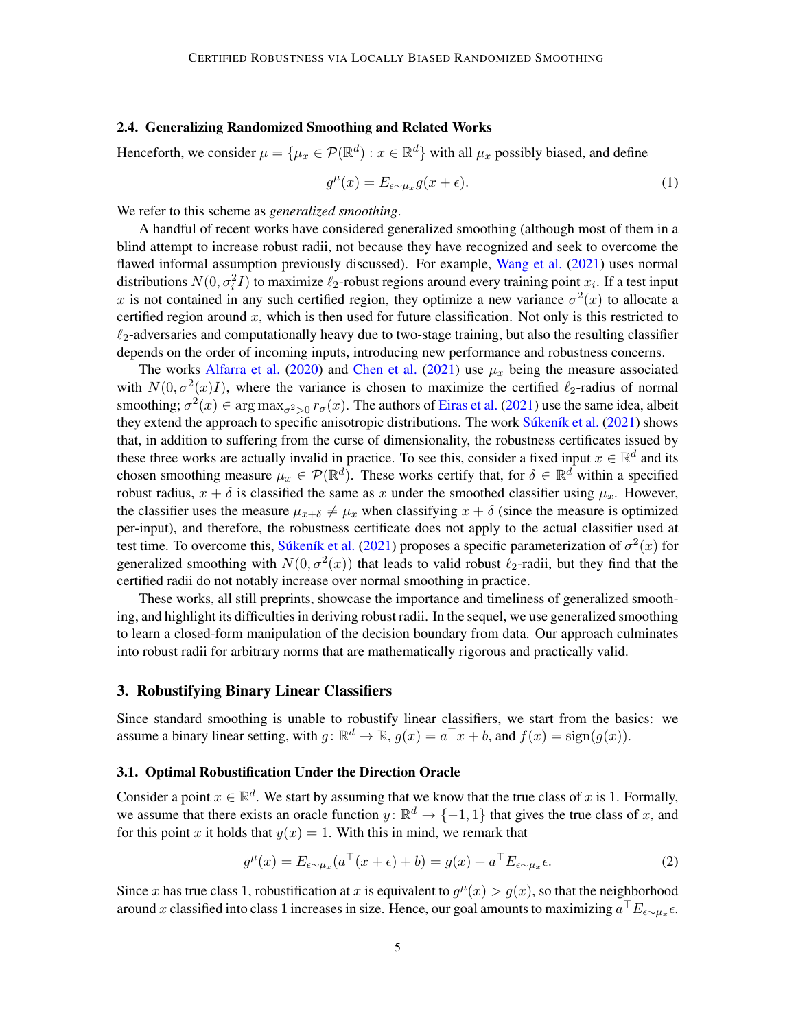#### <span id="page-4-0"></span>2.4. Generalizing Randomized Smoothing and Related Works

Henceforth, we consider  $\mu = \{\mu_x \in \mathcal{P}(\mathbb{R}^d) : x \in \mathbb{R}^d\}$  with all  $\mu_x$  possibly biased, and define

$$
g^{\mu}(x) = E_{\epsilon \sim \mu_x} g(x + \epsilon). \tag{1}
$$

We refer to this scheme as *generalized smoothing*.

A handful of recent works have considered generalized smoothing (although most of them in a blind attempt to increase robust radii, not because they have recognized and seek to overcome the flawed informal assumption previously discussed). For example, [Wang et al.](#page-12-10) [\(2021\)](#page-12-10) uses normal distributions  $N(0, \sigma_i^2 I)$  to maximize  $\ell_2$ -robust regions around every training point  $x_i$ . If a test input x is not contained in any such certified region, they optimize a new variance  $\sigma^2(x)$  to allocate a certified region around x, which is then used for future classification. Not only is this restricted to  $\ell_2$ -adversaries and computationally heavy due to two-stage training, but also the resulting classifier depends on the order of incoming inputs, introducing new performance and robustness concerns.

The works [Alfarra et al.](#page-10-8) [\(2020\)](#page-10-8) and [Chen et al.](#page-10-9) [\(2021\)](#page-10-9) use  $\mu_x$  being the measure associated with  $N(0, \sigma^2(x)I)$ , where the variance is chosen to maximize the certified  $\ell_2$ -radius of normal smoothing;  $\sigma^2(x) \in \arg\max_{\sigma^2>0} r_\sigma(x)$ . The authors of [Eiras et al.](#page-10-10) [\(2021\)](#page-10-10) use the same idea, albeit they extend the approach to specific anisotropic distributions. The work Suken *ik* et al. [\(2021\)](#page-12-11) shows that, in addition to suffering from the curse of dimensionality, the robustness certificates issued by these three works are actually invalid in practice. To see this, consider a fixed input  $x \in \mathbb{R}^d$  and its chosen smoothing measure  $\mu_x \in \mathcal{P}(\mathbb{R}^d)$ . These works certify that, for  $\delta \in \mathbb{R}^d$  within a specified robust radius,  $x + \delta$  is classified the same as x under the smoothed classifier using  $\mu_x$ . However, the classifier uses the measure  $\mu_{x+\delta} \neq \mu_x$  when classifying  $x + \delta$  (since the measure is optimized per-input), and therefore, the robustness certificate does not apply to the actual classifier used at test time. To overcome this, Súkeník et al. [\(2021\)](#page-12-11) proposes a specific parameterization of  $\sigma^2(x)$  for generalized smoothing with  $N(0, \sigma^2(x))$  that leads to valid robust  $\ell_2$ -radii, but they find that the certified radii do not notably increase over normal smoothing in practice.

These works, all still preprints, showcase the importance and timeliness of generalized smoothing, and highlight its difficulties in deriving robust radii. In the sequel, we use generalized smoothing to learn a closed-form manipulation of the decision boundary from data. Our approach culminates into robust radii for arbitrary norms that are mathematically rigorous and practically valid.

### 3. Robustifying Binary Linear Classifiers

Since standard smoothing is unable to robustify linear classifiers, we start from the basics: we assume a binary linear setting, with  $g: \mathbb{R}^d \to \mathbb{R}$ ,  $g(x) = a^{\top}x + b$ , and  $f(x) = \text{sign}(g(x))$ .

### 3.1. Optimal Robustification Under the Direction Oracle

Consider a point  $x \in \mathbb{R}^d$ . We start by assuming that we know that the true class of x is 1. Formally, we assume that there exists an oracle function  $y \colon \mathbb{R}^d \to \{-1,1\}$  that gives the true class of x, and for this point x it holds that  $y(x) = 1$ . With this in mind, we remark that

<span id="page-4-1"></span>
$$
g^{\mu}(x) = E_{\epsilon \sim \mu_x} (a^{\top}(x + \epsilon) + b) = g(x) + a^{\top} E_{\epsilon \sim \mu_x} \epsilon.
$$
 (2)

Since x has true class 1, robustification at x is equivalent to  $g^{\mu}(x) > g(x)$ , so that the neighborhood around x classified into class 1 increases in size. Hence, our goal amounts to maximizing  $a^\top E_{\epsilon \sim \mu_x} \epsilon$ .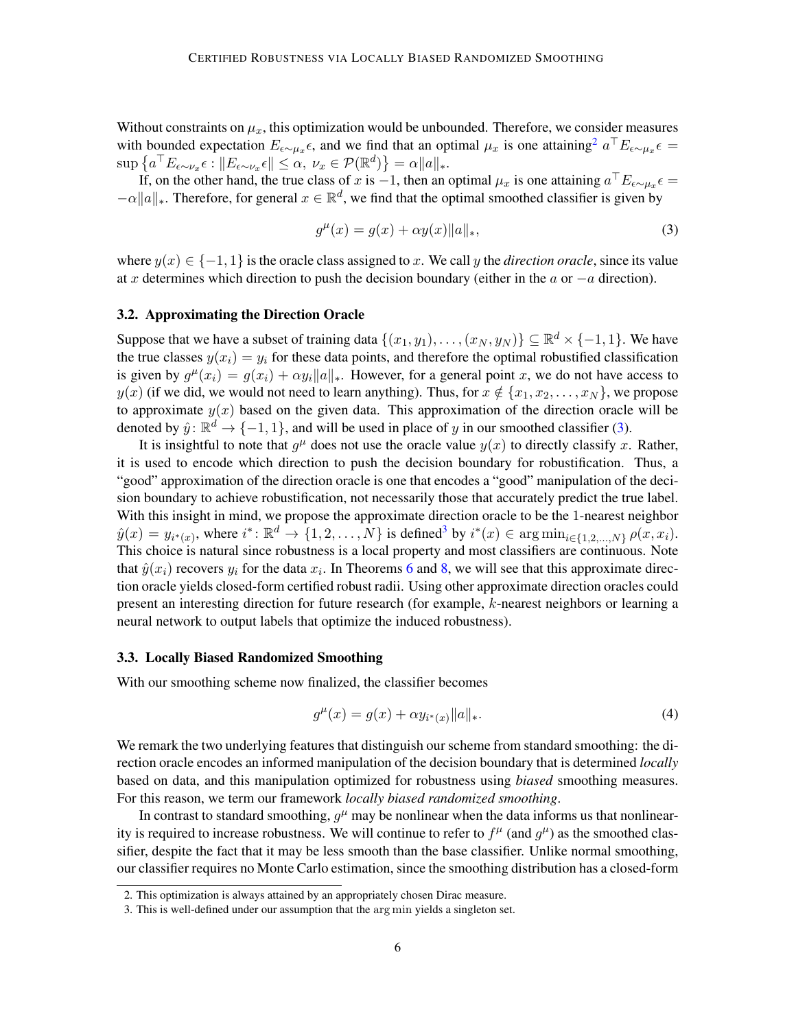Without constraints on  $\mu_x$ , this optimization would be unbounded. Therefore, we consider measures with bounded expectation  $E_{\epsilon \sim \mu_x} \epsilon$ , and we find that an optimal  $\mu_x$  is one attaining<sup>[2](#page-5-0)</sup>  $a^{\top} E_{\epsilon \sim \mu_x} \epsilon$  $\sup \left\{ a^\top E_{\epsilon \sim \nu_x} \epsilon : ||E_{\epsilon \sim \nu_x} \epsilon|| \leq \alpha, \ \nu_x \in \mathcal{P}(\mathbb{R}^d) \right\} = \alpha ||a||_*$ 

If, on the other hand, the true class of x is  $-1$ , then an optimal  $\mu_x$  is one attaining  $a^\top E_{\epsilon \sim \mu_x} \epsilon =$  $-\alpha \|a\|_*$ . Therefore, for general  $x \in \mathbb{R}^d$ , we find that the optimal smoothed classifier is given by

<span id="page-5-1"></span>
$$
g^{\mu}(x) = g(x) + \alpha y(x) \|a\|_{*},
$$
\n(3)

where  $y(x) \in \{-1, 1\}$  is the oracle class assigned to x. We call y the *direction oracle*, since its value at x determines which direction to push the decision boundary (either in the  $a$  or  $-a$  direction).

#### 3.2. Approximating the Direction Oracle

Suppose that we have a subset of training data  $\{(x_1, y_1), \ldots, (x_N, y_N)\} \subseteq \mathbb{R}^d \times \{-1, 1\}$ . We have the true classes  $y(x_i) = y_i$  for these data points, and therefore the optimal robustified classification is given by  $g^{\mu}(x_i) = g(x_i) + \alpha y_i ||a||_*$ . However, for a general point x, we do not have access to  $y(x)$  (if we did, we would not need to learn anything). Thus, for  $x \notin \{x_1, x_2, \ldots, x_N\}$ , we propose to approximate  $y(x)$  based on the given data. This approximation of the direction oracle will be denoted by  $\hat{y}$ :  $\mathbb{R}^d \to \{-1, 1\}$ , and will be used in place of y in our smoothed classifier [\(3\)](#page-5-1).

It is insightful to note that  $g^{\mu}$  does not use the oracle value  $y(x)$  to directly classify x. Rather, it is used to encode which direction to push the decision boundary for robustification. Thus, a "good" approximation of the direction oracle is one that encodes a "good" manipulation of the decision boundary to achieve robustification, not necessarily those that accurately predict the true label. With this insight in mind, we propose the approximate direction oracle to be the 1-nearest neighbor  $\hat{y}(x) = y_{i^*(x)}$ , where  $i^*: \mathbb{R}^d \to \{1, 2, ..., N\}$  is defined<sup>[3](#page-5-2)</sup> by  $i^*(x) \in \arg \min_{i \in \{1, 2, ..., N\}} \rho(x, x_i)$ . This choice is natural since robustness is a local property and most classifiers are continuous. Note that  $\hat{y}(x_i)$  recovers  $y_i$  for the data  $x_i$ . In Theorems [6](#page-6-0) and [8,](#page-7-0) we will see that this approximate direction oracle yields closed-form certified robust radii. Using other approximate direction oracles could present an interesting direction for future research (for example, k-nearest neighbors or learning a neural network to output labels that optimize the induced robustness).

#### 3.3. Locally Biased Randomized Smoothing

With our smoothing scheme now finalized, the classifier becomes

$$
g^{\mu}(x) = g(x) + \alpha y_{i^*(x)} \|a\|_*.
$$
 (4)

We remark the two underlying features that distinguish our scheme from standard smoothing: the direction oracle encodes an informed manipulation of the decision boundary that is determined *locally* based on data, and this manipulation optimized for robustness using *biased* smoothing measures. For this reason, we term our framework *locally biased randomized smoothing*.

In contrast to standard smoothing,  $g^{\mu}$  may be nonlinear when the data informs us that nonlinearity is required to increase robustness. We will continue to refer to  $f^{\mu}$  (and  $g^{\mu}$ ) as the smoothed classifier, despite the fact that it may be less smooth than the base classifier. Unlike normal smoothing, our classifier requires no Monte Carlo estimation, since the smoothing distribution has a closed-form

<span id="page-5-0"></span><sup>2.</sup> This optimization is always attained by an appropriately chosen Dirac measure.

<span id="page-5-2"></span><sup>3.</sup> This is well-defined under our assumption that the arg min yields a singleton set.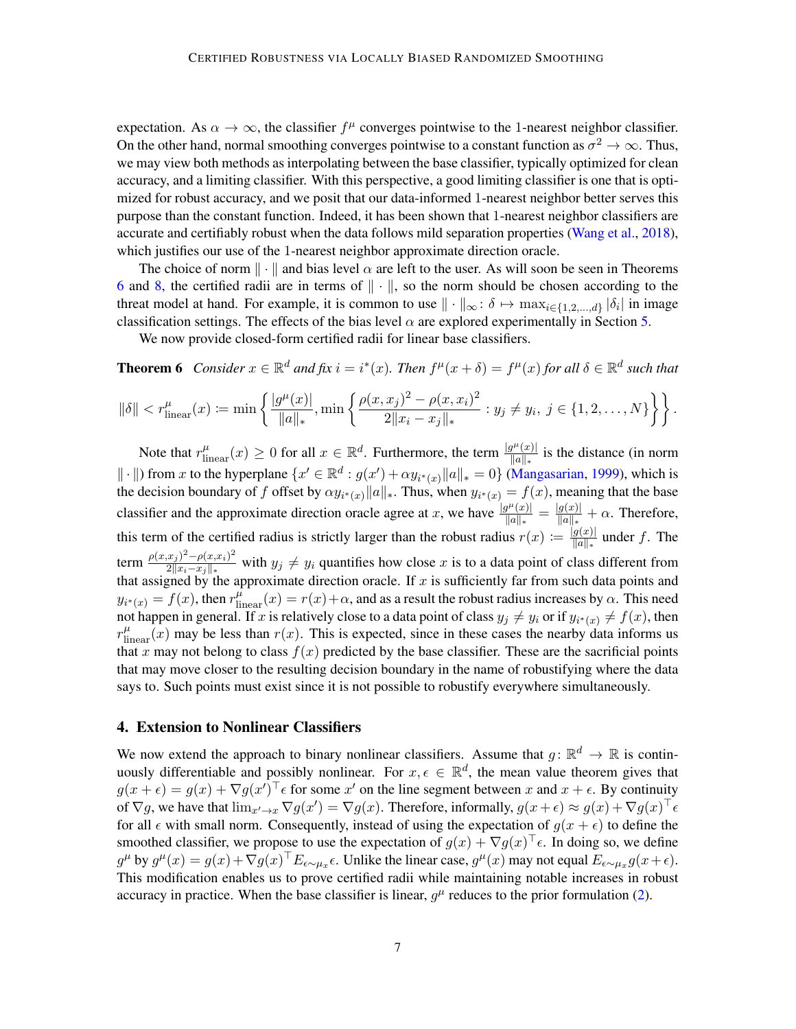expectation. As  $\alpha \to \infty$ , the classifier  $f^{\mu}$  converges pointwise to the 1-nearest neighbor classifier. On the other hand, normal smoothing converges pointwise to a constant function as  $\sigma^2 \to \infty$ . Thus, we may view both methods as interpolating between the base classifier, typically optimized for clean accuracy, and a limiting classifier. With this perspective, a good limiting classifier is one that is optimized for robust accuracy, and we posit that our data-informed 1-nearest neighbor better serves this purpose than the constant function. Indeed, it has been shown that 1-nearest neighbor classifiers are accurate and certifiably robust when the data follows mild separation properties [\(Wang et al.,](#page-12-12) [2018\)](#page-12-12), which justifies our use of the 1-nearest neighbor approximate direction oracle.

The choice of norm  $\|\cdot\|$  and bias level  $\alpha$  are left to the user. As will soon be seen in Theorems [6](#page-6-0) and [8,](#page-7-0) the certified radii are in terms of ∥ · ∥, so the norm should be chosen according to the threat model at hand. For example, it is common to use  $\|\cdot\|_{\infty} : \delta \mapsto \max_{i \in \{1,2,\dots,d\}} |\delta_i|$  in image classification settings. The effects of the bias level  $\alpha$  are explored experimentally in Section [5.](#page-7-1)

<span id="page-6-0"></span>We now provide closed-form certified radii for linear base classifiers.

**Theorem 6** *Consider*  $x \in \mathbb{R}^d$  *and*  $fix i = i^*(x)$ *. Then*  $f^{\mu}(x + \delta) = f^{\mu}(x)$  for all  $\delta \in \mathbb{R}^d$  such that

$$
\|\delta\| < r_{\text{linear}}^{\mu}(x) := \min\left\{ \frac{|g^{\mu}(x)|}{\|a\|_{*}}, \min\left\{ \frac{\rho(x,x_j)^2 - \rho(x,x_i)^2}{2\|x_i - x_j\|_{*}} : y_j \neq y_i, \ j \in \{1,2,\ldots,N\} \right\} \right\}.
$$

Note that  $r_{\text{linear}}^{\mu}(x) \ge 0$  for all  $x \in \mathbb{R}^d$ . Furthermore, the term  $\frac{|g^{\mu}(x)|}{||a||_*}$  $\frac{q^{r}(x)}{\|a\|_{*}}$  is the distance (in norm  $\|\cdot\|$ ) from x to the hyperplane  $\{x' \in \mathbb{R}^d : g(x') + \alpha y_{i^*(x)} \|a\|_*=0\}$  [\(Mangasarian,](#page-12-13) [1999\)](#page-12-13), which is the decision boundary of f offset by  $\alpha y_{i^*(x)} ||a||_*$ . Thus, when  $y_{i^*(x)} = f(x)$ , meaning that the base classifier and the approximate direction oracle agree at x, we have  $\frac{|g^{\mu}(x)|}{||g||}$  $\frac{g^{\mu}(x)|}{\|a\|_{*}} = \frac{|g(x)|}{\|a\|_{*}}$  $\frac{g(x)}{\|a\|_{*}} + \alpha$ . Therefore, this term of the certified radius is strictly larger than the robust radius  $r(x) := \frac{|g(x)|}{||g||}$  $\frac{g(x)}{\|a\|_{*}}$  under f. The term  $\frac{\rho(x,x_j)^2 - \rho(x,x_i)^2}{2||x_i-x_i||}$  $\frac{2||x_j| - \rho(x, x_i)}{2||x_i - x_j||_*}$  with  $y_j \neq y_i$  quantifies how close x is to a data point of class different from that assigned by the approximate direction oracle. If  $x$  is sufficiently far from such data points and  $y_{i^*(x)} = f(x)$ , then  $r_{\text{linear}}^{\mu}(x) = r(x) + \alpha$ , and as a result the robust radius increases by  $\alpha$ . This need not happen in general. If x is relatively close to a data point of class  $y_j \neq y_i$  or if  $y_{i^*(x)} \neq f(x)$ , then  $r_{\text{linear}}^{\mu}(x)$  may be less than  $r(x)$ . This is expected, since in these cases the nearby data informs us that x may not belong to class  $f(x)$  predicted by the base classifier. These are the sacrificial points that may move closer to the resulting decision boundary in the name of robustifying where the data says to. Such points must exist since it is not possible to robustify everywhere simultaneously.

### 4. Extension to Nonlinear Classifiers

We now extend the approach to binary nonlinear classifiers. Assume that  $g: \mathbb{R}^d \to \mathbb{R}$  is continuously differentiable and possibly nonlinear. For  $x, \epsilon \in \mathbb{R}^d$ , the mean value theorem gives that  $g(x+\epsilon) = g(x) + \nabla g(x')^\top \epsilon$  for some  $x'$  on the line segment between x and  $x + \epsilon$ . By continuity of  $\nabla g$ , we have that  $\lim_{x'\to x} \nabla g(x') = \nabla g(x)$ . Therefore, informally,  $g(x+\epsilon) \approx g(x) + \nabla g(x)^\top \epsilon$ for all  $\epsilon$  with small norm. Consequently, instead of using the expectation of  $g(x + \epsilon)$  to define the smoothed classifier, we propose to use the expectation of  $g(x) + \nabla g(x)^\top \epsilon$ . In doing so, we define  $g^{\mu}$  by  $g^{\mu}(x) = g(x) + \nabla g(x)^{\top} E_{\epsilon \sim \mu_x \epsilon}$ . Unlike the linear case,  $g^{\mu}(x)$  may not equal  $E_{\epsilon \sim \mu_x} g(x + \epsilon)$ . This modification enables us to prove certified radii while maintaining notable increases in robust accuracy in practice. When the base classifier is linear,  $g^{\mu}$  reduces to the prior formulation [\(2\)](#page-4-1).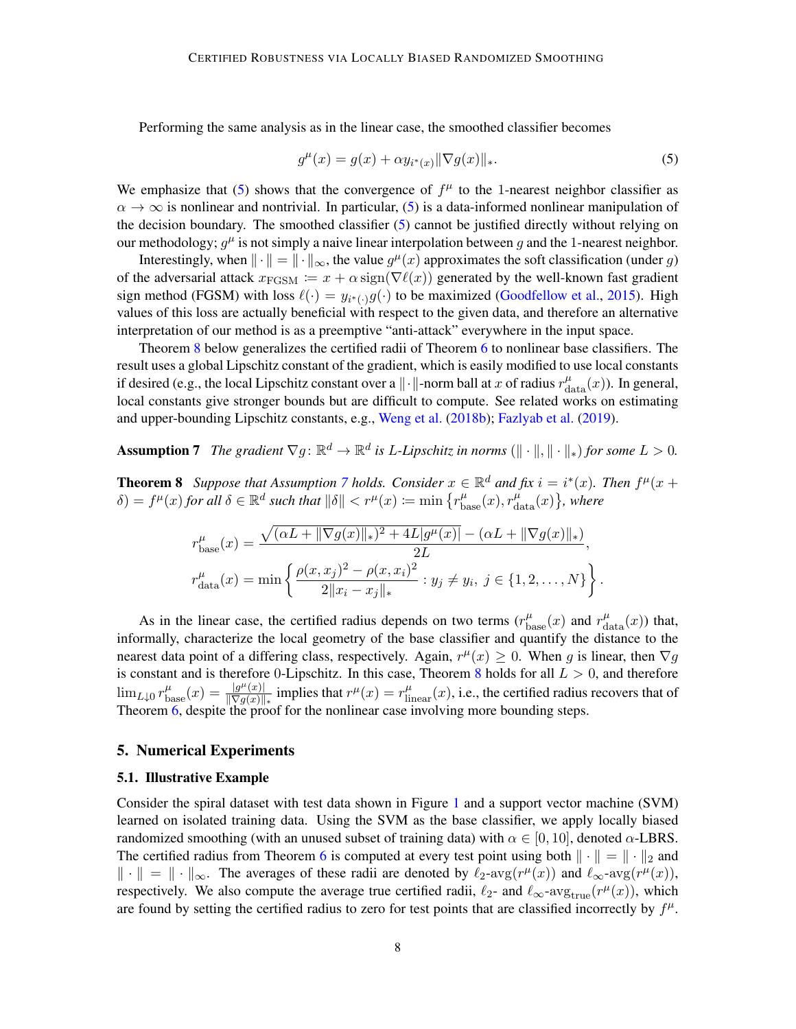Performing the same analysis as in the linear case, the smoothed classifier becomes

<span id="page-7-2"></span>
$$
g^{\mu}(x) = g(x) + \alpha y_{i^*(x)} \|\nabla g(x)\|_{*}.
$$
 (5)

We emphasize that [\(5\)](#page-7-2) shows that the convergence of  $f^{\mu}$  to the 1-nearest neighbor classifier as  $\alpha \to \infty$  is nonlinear and nontrivial. In particular, [\(5\)](#page-7-2) is a data-informed nonlinear manipulation of the decision boundary. The smoothed classifier [\(5\)](#page-7-2) cannot be justified directly without relying on our methodology;  $g^{\mu}$  is not simply a naive linear interpolation between g and the 1-nearest neighbor.

Interestingly, when  $\|\cdot\| = \|\cdot\|_{\infty}$ , the value  $g^{\mu}(x)$  approximates the soft classification (under g) of the adversarial attack  $x_{\text{FGSM}} := x + \alpha \text{sign}(\nabla \ell(x))$  generated by the well-known fast gradient sign method (FGSM) with loss  $\ell(\cdot) = y_{i^*(\cdot)}g(\cdot)$  to be maximized [\(Goodfellow et al.,](#page-11-1) [2015\)](#page-11-1). High values of this loss are actually beneficial with respect to the given data, and therefore an alternative interpretation of our method is as a preemptive "anti-attack" everywhere in the input space.

Theorem [8](#page-7-0) below generalizes the certified radii of Theorem [6](#page-6-0) to nonlinear base classifiers. The result uses a global Lipschitz constant of the gradient, which is easily modified to use local constants if desired (e.g., the local Lipschitz constant over a  $\|\cdot\|$ -norm ball at x of radius  $r_{\text{data}}^{\mu}(x)$ ). In general, local constants give stronger bounds but are difficult to compute. See related works on estimating and upper-bounding Lipschitz constants, e.g., [Weng et al.](#page-13-9) [\(2018b\)](#page-13-9); [Fazlyab et al.](#page-10-11) [\(2019\)](#page-10-11).

<span id="page-7-3"></span>Assumption 7 *The gradient*  $\nabla g \colon \mathbb{R}^d \to \mathbb{R}^d$  is *L*-Lipschitz in norms  $(\|\cdot\|, \|\cdot\|_*)$  for some  $L > 0$ .

<span id="page-7-0"></span>**Theorem 8** Suppose that Assumption [7](#page-7-3) holds. Consider  $x \in \mathbb{R}^d$  and fix  $i = i^*(x)$ . Then  $f^{\mu}(x +$  $\delta$ ) =  $f^{\mu}(x)$  for all  $\delta \in \mathbb{R}^d$  such that  $\|\delta\| < r^{\mu}(x) \coloneqq \min\left\{r_{\text{base}}^{\mu}(x), r_{\text{data}}^{\mu}(x)\right\}$ , where

$$
r_{\text{base}}^{\mu}(x) = \frac{\sqrt{(\alpha L + \|\nabla g(x)\|_{*})^2 + 4L|g^{\mu}(x)\|} - (\alpha L + \|\nabla g(x)\|_{*})}{2L},
$$
  

$$
r_{\text{data}}^{\mu}(x) = \min\left\{\frac{\rho(x, x_{j})^2 - \rho(x, x_{i})^2}{2\|x_{i} - x_{j}\|_{*}} : y_{j} \neq y_{i}, j \in \{1, 2, ..., N\}\right\}.
$$

As in the linear case, the certified radius depends on two terms  $(r_{\text{base}}^{\mu}(x))$  and  $r_{\text{data}}^{\mu}(x))$  that, informally, characterize the local geometry of the base classifier and quantify the distance to the nearest data point of a differing class, respectively. Again,  $r^{\mu}(x) \ge 0$ . When g is linear, then  $\nabla g$ is constant and is therefore 0-Lipschitz. In this case, Theorem [8](#page-7-0) holds for all  $L > 0$ , and therefore  $\lim_{L\downarrow 0} r_{\text{base}}^{\mu}(x) = \frac{|g^{\mu}(x)|}{\|\nabla g(x)\|}$  $\frac{|g^{\mu}(x)|}{\|\nabla g(x)\|_{*}}$  implies that  $r^{\mu}(x) = r^{\mu}_{\text{linear}}(x)$ , i.e., the certified radius recovers that of Theorem  $\overline{6}$ , despite the proof for the nonlinear case involving more bounding steps.

### <span id="page-7-1"></span>5. Numerical Experiments

#### 5.1. Illustrative Example

Consider the spiral dataset with test data shown in Figure [1](#page-8-0) and a support vector machine (SVM) learned on isolated training data. Using the SVM as the base classifier, we apply locally biased randomized smoothing (with an unused subset of training data) with  $\alpha \in [0, 10]$ , denoted  $\alpha$ -LBRS. The certified radius from Theorem [6](#page-6-0) is computed at every test point using both  $|| \cdot || = || \cdot ||_2$  and  $\|\cdot\| = \|\cdot\|_{\infty}$ . The averages of these radii are denoted by  $\ell_2$ -avg $(r^{\mu}(x))$  and  $\ell_{\infty}$ -avg $(r^{\mu}(x))$ , respectively. We also compute the average true certified radii,  $\ell_2$ - and  $\ell_{\infty}$ -avg<sub>true</sub>( $r^{\mu}(x)$ ), which are found by setting the certified radius to zero for test points that are classified incorrectly by  $f^{\mu}$ .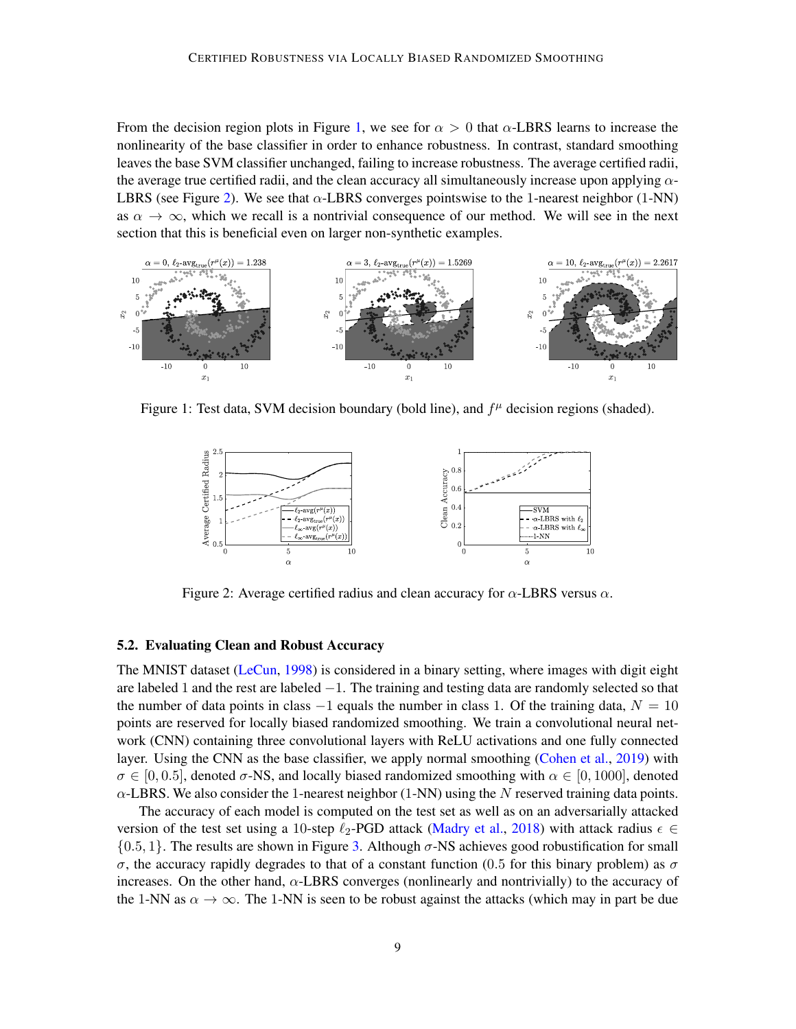From the decision region plots in Figure [1,](#page-8-0) we see for  $\alpha > 0$  that  $\alpha$ -LBRS learns to increase the nonlinearity of the base classifier in order to enhance robustness. In contrast, standard smoothing leaves the base SVM classifier unchanged, failing to increase robustness. The average certified radii, the average true certified radii, and the clean accuracy all simultaneously increase upon applying  $\alpha$ -LBRS (see Figure [2\)](#page-8-1). We see that  $\alpha$ -LBRS converges pointswise to the 1-nearest neighbor (1-NN) as  $\alpha \to \infty$ , which we recall is a nontrivial consequence of our method. We will see in the next section that this is beneficial even on larger non-synthetic examples.



Figure 1: Test data, SVM decision boundary (bold line), and  $f^{\mu}$  decision regions (shaded).

<span id="page-8-0"></span>

<span id="page-8-1"></span>Figure 2: Average certified radius and clean accuracy for  $\alpha$ -LBRS versus  $\alpha$ .

### 5.2. Evaluating Clean and Robust Accuracy

The MNIST dataset [\(LeCun,](#page-11-13) [1998\)](#page-11-13) is considered in a binary setting, where images with digit eight are labeled 1 and the rest are labeled −1. The training and testing data are randomly selected so that the number of data points in class  $-1$  equals the number in class 1. Of the training data,  $N = 10$ points are reserved for locally biased randomized smoothing. We train a convolutional neural network (CNN) containing three convolutional layers with ReLU activations and one fully connected layer. Using the CNN as the base classifier, we apply normal smoothing [\(Cohen et al.,](#page-10-4) [2019\)](#page-10-4) with  $\sigma \in [0, 0.5]$ , denoted  $\sigma$ -NS, and locally biased randomized smoothing with  $\alpha \in [0, 1000]$ , denoted  $\alpha$ -LBRS. We also consider the 1-nearest neighbor (1-NN) using the N reserved training data points.

The accuracy of each model is computed on the test set as well as on an adversarially attacked version of the test set using a 10-step  $\ell_2$ -PGD attack [\(Madry et al.,](#page-11-2) [2018\)](#page-11-2) with attack radius  $\epsilon \in$  $\{0.5, 1\}$ . The results are shown in Figure [3.](#page-9-0) Although  $\sigma$ -NS achieves good robustification for small σ, the accuracy rapidly degrades to that of a constant function (0.5 for this binary problem) as σ increases. On the other hand,  $\alpha$ -LBRS converges (nonlinearly and nontrivially) to the accuracy of the 1-NN as  $\alpha \to \infty$ . The 1-NN is seen to be robust against the attacks (which may in part be due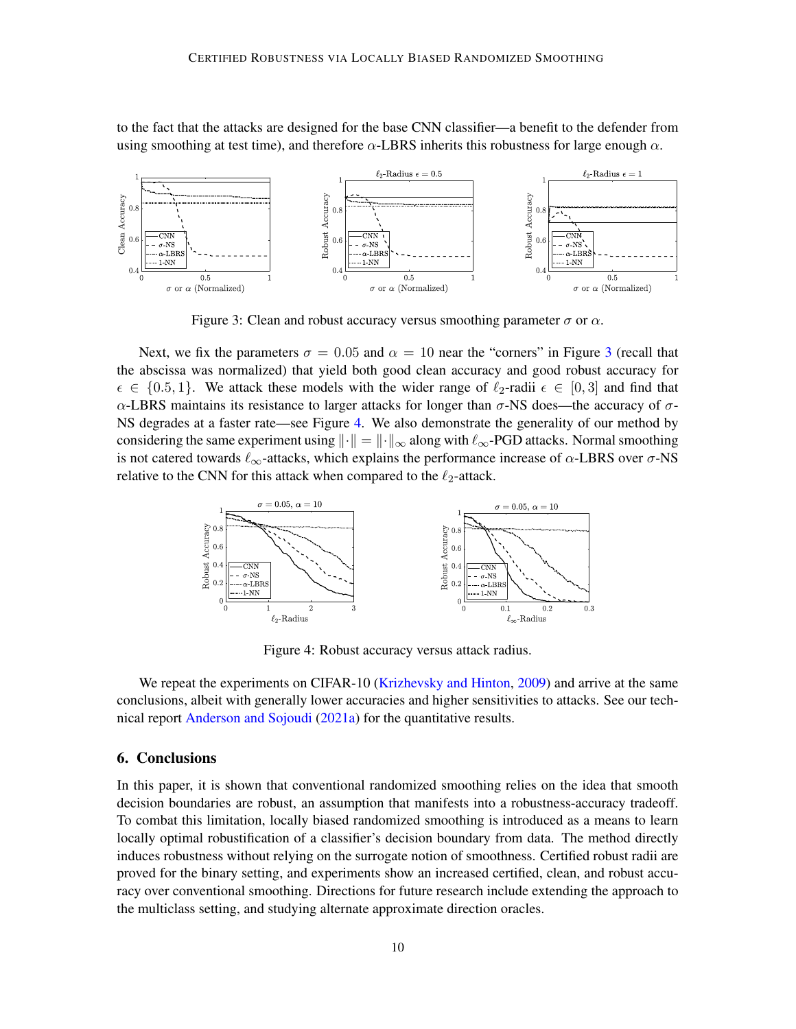to the fact that the attacks are designed for the base CNN classifier—a benefit to the defender from using smoothing at test time), and therefore  $\alpha$ -LBRS inherits this robustness for large enough  $\alpha$ .



<span id="page-9-0"></span>Figure 3: Clean and robust accuracy versus smoothing parameter  $\sigma$  or  $\alpha$ .

Next, we fix the parameters  $\sigma = 0.05$  and  $\alpha = 10$  near the "corners" in Figure [3](#page-9-0) (recall that the abscissa was normalized) that yield both good clean accuracy and good robust accuracy for  $\epsilon \in \{0.5, 1\}$ . We attack these models with the wider range of  $\ell_2$ -radii  $\epsilon \in [0, 3]$  and find that α-LBRS maintains its resistance to larger attacks for longer than  $\sigma$ -NS does—the accuracy of  $\sigma$ -NS degrades at a faster rate—see Figure [4.](#page-9-1) We also demonstrate the generality of our method by considering the same experiment using  $\|\cdot\| = \|\cdot\|_{\infty}$  along with  $\ell_{\infty}$ -PGD attacks. Normal smoothing is not catered towards  $\ell_{\infty}$ -attacks, which explains the performance increase of  $\alpha$ -LBRS over  $\sigma$ -NS relative to the CNN for this attack when compared to the  $\ell_2$ -attack.



<span id="page-9-1"></span>Figure 4: Robust accuracy versus attack radius.

We repeat the experiments on CIFAR-10 [\(Krizhevsky and Hinton,](#page-11-14) [2009\)](#page-11-14) and arrive at the same conclusions, albeit with generally lower accuracies and higher sensitivities to attacks. See our technical report [Anderson and Sojoudi](#page-10-6) [\(2021a\)](#page-10-6) for the quantitative results.

# 6. Conclusions

In this paper, it is shown that conventional randomized smoothing relies on the idea that smooth decision boundaries are robust, an assumption that manifests into a robustness-accuracy tradeoff. To combat this limitation, locally biased randomized smoothing is introduced as a means to learn locally optimal robustification of a classifier's decision boundary from data. The method directly induces robustness without relying on the surrogate notion of smoothness. Certified robust radii are proved for the binary setting, and experiments show an increased certified, clean, and robust accuracy over conventional smoothing. Directions for future research include extending the approach to the multiclass setting, and studying alternate approximate direction oracles.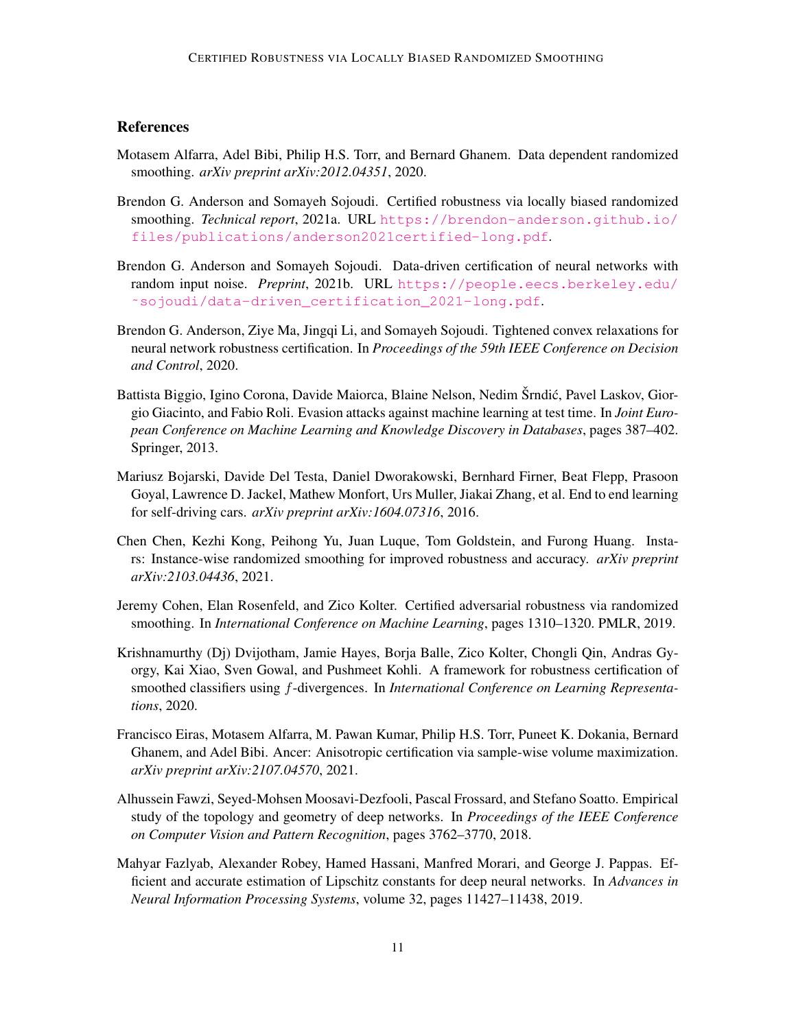# **References**

- <span id="page-10-8"></span>Motasem Alfarra, Adel Bibi, Philip H.S. Torr, and Bernard Ghanem. Data dependent randomized smoothing. *arXiv preprint arXiv:2012.04351*, 2020.
- <span id="page-10-6"></span>Brendon G. Anderson and Somayeh Sojoudi. Certified robustness via locally biased randomized smoothing. *Technical report*, 2021a. URL [https://brendon-anderson.github.io/](https://brendon-anderson.github.io/files/publications/anderson2021certified-long.pdf) [files/publications/anderson2021certified-long.pdf](https://brendon-anderson.github.io/files/publications/anderson2021certified-long.pdf).
- <span id="page-10-3"></span>Brendon G. Anderson and Somayeh Sojoudi. Data-driven certification of neural networks with random input noise. *Preprint*, 2021b. URL [https://people.eecs.berkeley.edu/](https://people.eecs.berkeley.edu/~sojoudi/data-driven_certification_2021-long.pdf) [˜sojoudi/data-driven\\_certification\\_2021-long.pdf](https://people.eecs.berkeley.edu/~sojoudi/data-driven_certification_2021-long.pdf).
- <span id="page-10-2"></span>Brendon G. Anderson, Ziye Ma, Jingqi Li, and Somayeh Sojoudi. Tightened convex relaxations for neural network robustness certification. In *Proceedings of the 59th IEEE Conference on Decision and Control*, 2020.
- <span id="page-10-1"></span>Battista Biggio, Igino Corona, Davide Maiorca, Blaine Nelson, Nedim Šrndić, Pavel Laskov, Giorgio Giacinto, and Fabio Roli. Evasion attacks against machine learning at test time. In *Joint European Conference on Machine Learning and Knowledge Discovery in Databases*, pages 387–402. Springer, 2013.
- <span id="page-10-0"></span>Mariusz Bojarski, Davide Del Testa, Daniel Dworakowski, Bernhard Firner, Beat Flepp, Prasoon Goyal, Lawrence D. Jackel, Mathew Monfort, Urs Muller, Jiakai Zhang, et al. End to end learning for self-driving cars. *arXiv preprint arXiv:1604.07316*, 2016.
- <span id="page-10-9"></span>Chen Chen, Kezhi Kong, Peihong Yu, Juan Luque, Tom Goldstein, and Furong Huang. Instars: Instance-wise randomized smoothing for improved robustness and accuracy. *arXiv preprint arXiv:2103.04436*, 2021.
- <span id="page-10-4"></span>Jeremy Cohen, Elan Rosenfeld, and Zico Kolter. Certified adversarial robustness via randomized smoothing. In *International Conference on Machine Learning*, pages 1310–1320. PMLR, 2019.
- <span id="page-10-5"></span>Krishnamurthy (Dj) Dvijotham, Jamie Hayes, Borja Balle, Zico Kolter, Chongli Qin, Andras Gyorgy, Kai Xiao, Sven Gowal, and Pushmeet Kohli. A framework for robustness certification of smoothed classifiers using f-divergences. In *International Conference on Learning Representations*, 2020.
- <span id="page-10-10"></span>Francisco Eiras, Motasem Alfarra, M. Pawan Kumar, Philip H.S. Torr, Puneet K. Dokania, Bernard Ghanem, and Adel Bibi. Ancer: Anisotropic certification via sample-wise volume maximization. *arXiv preprint arXiv:2107.04570*, 2021.
- <span id="page-10-7"></span>Alhussein Fawzi, Seyed-Mohsen Moosavi-Dezfooli, Pascal Frossard, and Stefano Soatto. Empirical study of the topology and geometry of deep networks. In *Proceedings of the IEEE Conference on Computer Vision and Pattern Recognition*, pages 3762–3770, 2018.
- <span id="page-10-11"></span>Mahyar Fazlyab, Alexander Robey, Hamed Hassani, Manfred Morari, and George J. Pappas. Efficient and accurate estimation of Lipschitz constants for deep neural networks. In *Advances in Neural Information Processing Systems*, volume 32, pages 11427–11438, 2019.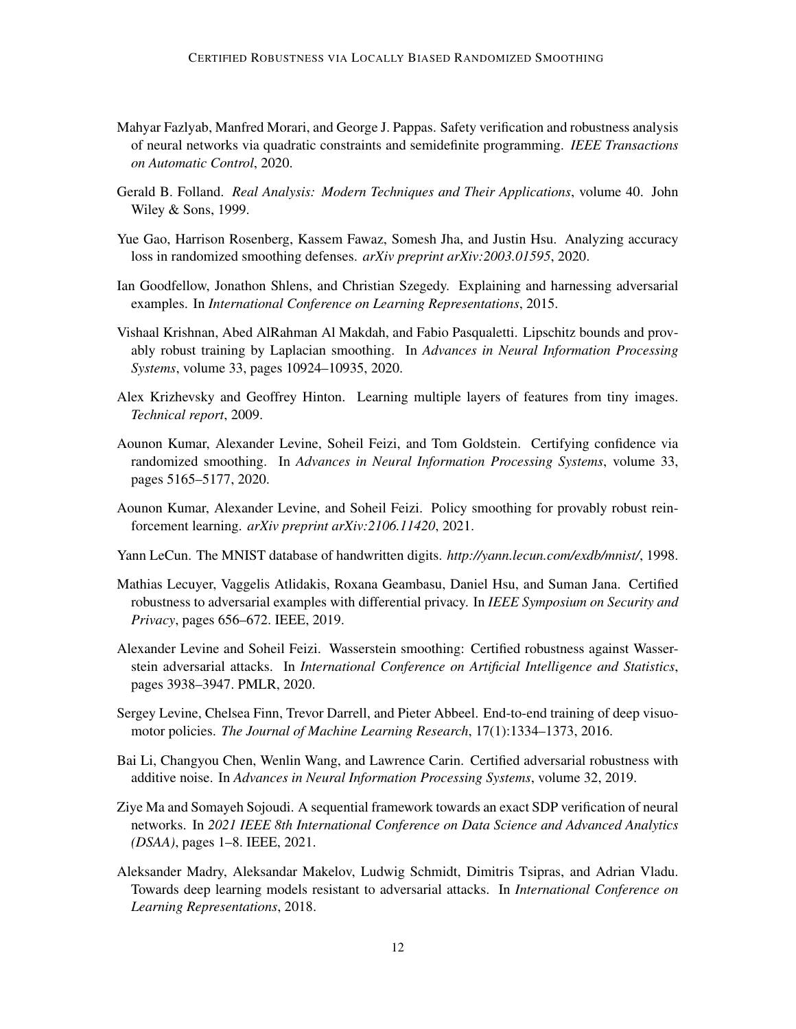- <span id="page-11-3"></span>Mahyar Fazlyab, Manfred Morari, and George J. Pappas. Safety verification and robustness analysis of neural networks via quadratic constraints and semidefinite programming. *IEEE Transactions on Automatic Control*, 2020.
- <span id="page-11-12"></span>Gerald B. Folland. *Real Analysis: Modern Techniques and Their Applications*, volume 40. John Wiley & Sons, 1999.
- <span id="page-11-9"></span>Yue Gao, Harrison Rosenberg, Kassem Fawaz, Somesh Jha, and Justin Hsu. Analyzing accuracy loss in randomized smoothing defenses. *arXiv preprint arXiv:2003.01595*, 2020.
- <span id="page-11-1"></span>Ian Goodfellow, Jonathon Shlens, and Christian Szegedy. Explaining and harnessing adversarial examples. In *International Conference on Learning Representations*, 2015.
- <span id="page-11-8"></span>Vishaal Krishnan, Abed AlRahman Al Makdah, and Fabio Pasqualetti. Lipschitz bounds and provably robust training by Laplacian smoothing. In *Advances in Neural Information Processing Systems*, volume 33, pages 10924–10935, 2020.
- <span id="page-11-14"></span>Alex Krizhevsky and Geoffrey Hinton. Learning multiple layers of features from tiny images. *Technical report*, 2009.
- <span id="page-11-11"></span>Aounon Kumar, Alexander Levine, Soheil Feizi, and Tom Goldstein. Certifying confidence via randomized smoothing. In *Advances in Neural Information Processing Systems*, volume 33, pages 5165–5177, 2020.
- <span id="page-11-10"></span>Aounon Kumar, Alexander Levine, and Soheil Feizi. Policy smoothing for provably robust reinforcement learning. *arXiv preprint arXiv:2106.11420*, 2021.
- <span id="page-11-13"></span>Yann LeCun. The MNIST database of handwritten digits. *http://yann.lecun.com/exdb/mnist/*, 1998.
- <span id="page-11-5"></span>Mathias Lecuyer, Vaggelis Atlidakis, Roxana Geambasu, Daniel Hsu, and Suman Jana. Certified robustness to adversarial examples with differential privacy. In *IEEE Symposium on Security and Privacy*, pages 656–672. IEEE, 2019.
- <span id="page-11-7"></span>Alexander Levine and Soheil Feizi. Wasserstein smoothing: Certified robustness against Wasserstein adversarial attacks. In *International Conference on Artificial Intelligence and Statistics*, pages 3938–3947. PMLR, 2020.
- <span id="page-11-0"></span>Sergey Levine, Chelsea Finn, Trevor Darrell, and Pieter Abbeel. End-to-end training of deep visuomotor policies. *The Journal of Machine Learning Research*, 17(1):1334–1373, 2016.
- <span id="page-11-6"></span>Bai Li, Changyou Chen, Wenlin Wang, and Lawrence Carin. Certified adversarial robustness with additive noise. In *Advances in Neural Information Processing Systems*, volume 32, 2019.
- <span id="page-11-4"></span>Ziye Ma and Somayeh Sojoudi. A sequential framework towards an exact SDP verification of neural networks. In *2021 IEEE 8th International Conference on Data Science and Advanced Analytics (DSAA)*, pages 1–8. IEEE, 2021.
- <span id="page-11-2"></span>Aleksander Madry, Aleksandar Makelov, Ludwig Schmidt, Dimitris Tsipras, and Adrian Vladu. Towards deep learning models resistant to adversarial attacks. In *International Conference on Learning Representations*, 2018.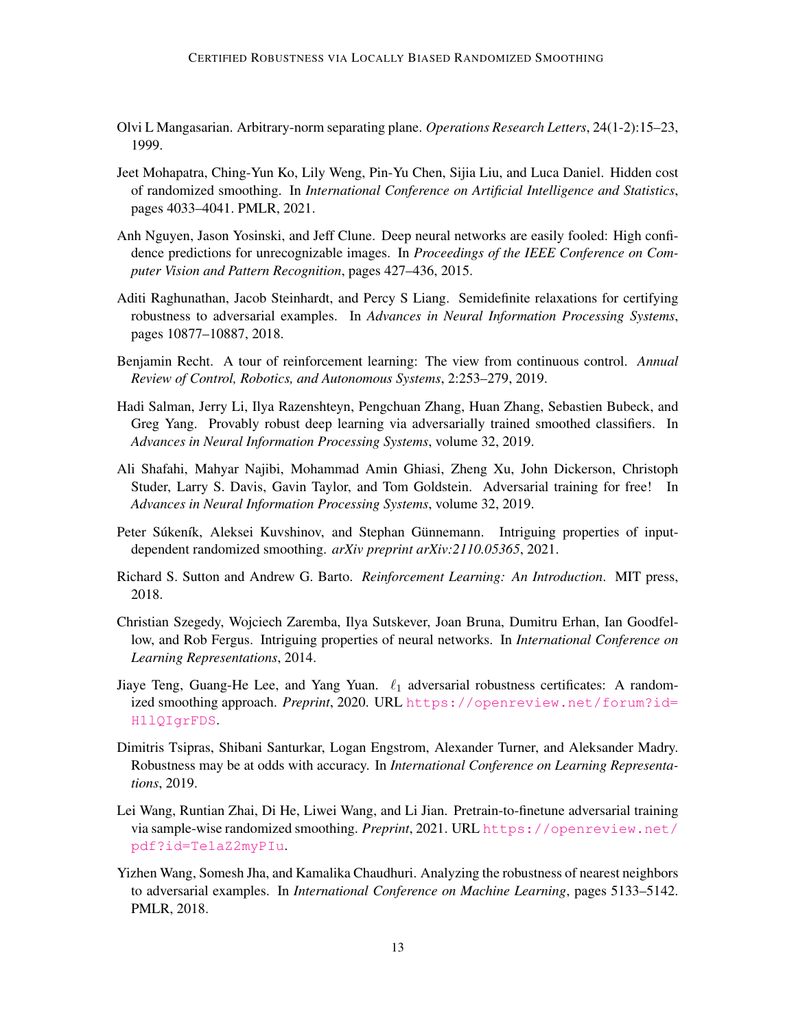- <span id="page-12-13"></span>Olvi L Mangasarian. Arbitrary-norm separating plane. *Operations Research Letters*, 24(1-2):15–23, 1999.
- <span id="page-12-8"></span>Jeet Mohapatra, Ching-Yun Ko, Lily Weng, Pin-Yu Chen, Sijia Liu, and Luca Daniel. Hidden cost of randomized smoothing. In *International Conference on Artificial Intelligence and Statistics*, pages 4033–4041. PMLR, 2021.
- <span id="page-12-2"></span>Anh Nguyen, Jason Yosinski, and Jeff Clune. Deep neural networks are easily fooled: High confidence predictions for unrecognizable images. In *Proceedings of the IEEE Conference on Computer Vision and Pattern Recognition*, pages 427–436, 2015.
- <span id="page-12-5"></span>Aditi Raghunathan, Jacob Steinhardt, and Percy S Liang. Semidefinite relaxations for certifying robustness to adversarial examples. In *Advances in Neural Information Processing Systems*, pages 10877–10887, 2018.
- <span id="page-12-3"></span>Benjamin Recht. A tour of reinforcement learning: The view from continuous control. *Annual Review of Control, Robotics, and Autonomous Systems*, 2:253–279, 2019.
- <span id="page-12-7"></span>Hadi Salman, Jerry Li, Ilya Razenshteyn, Pengchuan Zhang, Huan Zhang, Sebastien Bubeck, and Greg Yang. Provably robust deep learning via adversarially trained smoothed classifiers. In *Advances in Neural Information Processing Systems*, volume 32, 2019.
- <span id="page-12-4"></span>Ali Shafahi, Mahyar Najibi, Mohammad Amin Ghiasi, Zheng Xu, John Dickerson, Christoph Studer, Larry S. Davis, Gavin Taylor, and Tom Goldstein. Adversarial training for free! In *Advances in Neural Information Processing Systems*, volume 32, 2019.
- <span id="page-12-11"></span>Peter Súkeník, Aleksei Kuvshinov, and Stephan Günnemann. Intriguing properties of inputdependent randomized smoothing. *arXiv preprint arXiv:2110.05365*, 2021.
- <span id="page-12-0"></span>Richard S. Sutton and Andrew G. Barto. *Reinforcement Learning: An Introduction*. MIT press, 2018.
- <span id="page-12-1"></span>Christian Szegedy, Wojciech Zaremba, Ilya Sutskever, Joan Bruna, Dumitru Erhan, Ian Goodfellow, and Rob Fergus. Intriguing properties of neural networks. In *International Conference on Learning Representations*, 2014.
- <span id="page-12-6"></span>Jiaye Teng, Guang-He Lee, and Yang Yuan.  $\ell_1$  adversarial robustness certificates: A randomized smoothing approach. *Preprint*, 2020. URL [https://openreview.net/forum?id=](https://openreview.net/forum?id=H1lQIgrFDS) [H1lQIgrFDS](https://openreview.net/forum?id=H1lQIgrFDS).
- <span id="page-12-9"></span>Dimitris Tsipras, Shibani Santurkar, Logan Engstrom, Alexander Turner, and Aleksander Madry. Robustness may be at odds with accuracy. In *International Conference on Learning Representations*, 2019.
- <span id="page-12-10"></span>Lei Wang, Runtian Zhai, Di He, Liwei Wang, and Li Jian. Pretrain-to-finetune adversarial training via sample-wise randomized smoothing. *Preprint*, 2021. URL [https://openreview.net/](https://openreview.net/pdf?id=Te1aZ2myPIu) [pdf?id=Te1aZ2myPIu](https://openreview.net/pdf?id=Te1aZ2myPIu).
- <span id="page-12-12"></span>Yizhen Wang, Somesh Jha, and Kamalika Chaudhuri. Analyzing the robustness of nearest neighbors to adversarial examples. In *International Conference on Machine Learning*, pages 5133–5142. PMLR, 2018.